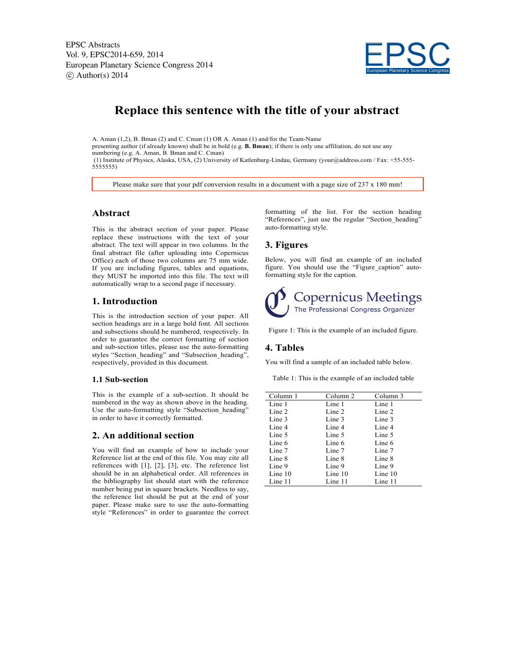EPSC Abstracts Vol. 9, EPSC2014-659, 2014 European Planetary Science Congress 2014  $\circ$  Author(s) 2014



# **Replace this sentence with the title of your abstract**

A. Aman (1,2), B. Bman (2) and C. Cman (1) OR A. Aman (1) and/for the Team-Name presenting author (if already known) shall be in bold (e.g. **B. Bman**); if there is only one affiliation, do not use any numbering (e.g. A. Aman, B. Bman and C. Cman) (1) Institute of Physics, Alaska, USA, (2) University of Katlenburg-Lindau, Germany (your@address.com / Fax: +55-555-

5555555)

Please make sure that your pdf conversion results in a document with a page size of 237 x 180 mm!

#### **Abstract**

This is the abstract section of your paper. Please replace these instructions with the text of your abstract. The text will appear in two columns. In the final abstract file (after uploading into Copernicus Office) each of those two columns are 75 mm wide. If you are including figures, tables and equations, they MUST be imported into this file. The text will automatically wrap to a second page if necessary.

### **1. Introduction**

This is the introduction section of your paper. All section headings are in a large bold font. All sections and subsections should be numbered, respectively. In order to guarantee the correct formatting of section and sub-section titles, please use the auto-formatting styles "Section\_heading" and "Subsection\_heading", respectively, provided in this document.

#### **1.1 Sub-section**

This is the example of a sub-section. It should be numbered in the way as shown above in the heading. Use the auto-formatting style "Subsection\_heading" in order to have it correctly formatted.

### **2. An additional section**

You will find an example of how to include your Reference list at the end of this file. You may cite all references with [1], [2], [3], etc. The reference list should be in an alphabetical order. All references in the bibliography list should start with the reference number being put in square brackets. Needless to say, the reference list should be put at the end of your paper. Please make sure to use the auto-formatting style "References" in order to guarantee the correct formatting of the list. For the section heading "References", just use the regular "Section\_heading" auto-formatting style.

# **3. Figures**

Below, you will find an example of an included figure. You should use the "Figure\_caption" autoformatting style for the caption.



Figure 1: This is the example of an included figure.

#### **4. Tables**

You will find a sample of an included table below.

Table 1: This is the example of an included table

| Column 1 | Column 2 | Column 3 |
|----------|----------|----------|
| Line 1   | Line 1   | Line 1   |
| Line 2   | Line 2   | Line 2   |
| Line 3   | Line 3   | Line 3   |
| Line 4   | Line 4   | Line 4   |
| Line 5   | Line 5   | Line 5   |
| Line 6   | Line 6   | Line 6   |
| Line 7   | Line 7   | Line 7   |
| Line 8   | Line 8   | Line 8   |
| Line 9   | Line 9   | Line 9   |
| Line 10  | Line 10  | Line 10  |
| Line 11  | Line 11  | Line 11  |